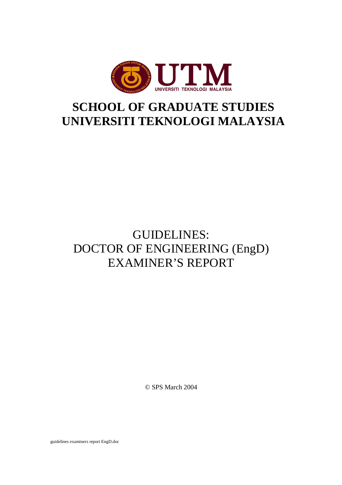

## **SCHOOL OF GRADUATE STUDIES UNIVERSITI TEKNOLOGI MALAYSIA**

## GUIDELINES: DOCTOR OF ENGINEERING (EngD) EXAMINER'S REPORT

© SPS March 2004

guidelines examiners report EngD.doc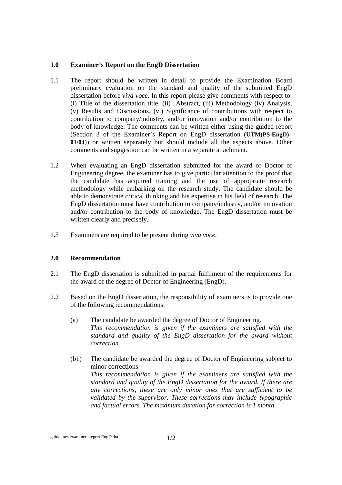## **1.0 Examiner's Report on the EngD Dissertation**

- 1.1 The report should be written in detail to provide the Examination Board preliminary evaluation on the standard and quality of the submitted EngD dissertation before *viva voce*. In this report please give comments with respect to: (i) Title of the dissertation title, (ii) Abstract, (iii) Methodology (iv) Analysis, (v) Results and Discussions, (vi) Significance of contributions with respect to contribution to company/industry, and/or innovation and/or contribution to the body of knowledge. The comments can be written either using the guided report (Section 3 of the Examiner's Report on EngD dissertation (**UTM(PS-EngD)– 01/04**)) or written separately but should include all the aspects above. Other comments and suggestion can be written in a separate attachment.
- 1.2 When evaluating an EngD dissertation submitted for the award of Doctor of Engineering degree, the examiner has to give particular attention to the proof that the candidate has acquired training and the use of appropriate research methodology while embarking on the research study. The candidate should be able to demonstrate critical thinking and his expertise in his field of research. The EngD dissertation must have contribution to company/industry, and/or innovation and/or contribution to the body of knowledge. The EngD dissertation must be written clearly and precisely.
- 1.3 Examiners are required to be present during *viva voce*.

## **2.0 Recommendation**

- 2.1 The EngD dissertation is submitted in partial fulfilment of the requirements for the award of the degree of Doctor of Engineering (EngD).
- 2.2 Based on the EngD dissertation, the responsibility of examiners is to provide one of the following recommendations:
	- (a) The candidate be awarded the degree of Doctor of Engineering. *This recommendation is given if the examiners are satisfied with the standard and quality of the EngD dissertation for the award without correction.*
	- (b1) The candidate be awarded the degree of Doctor of Engineering subject to minor corrections *This recommendation is given if the examiners are satisfied with the standard and quality of the EngD dissertation for the award. If there are any corrections, these are only minor ones that are sufficient to be validated by the supervisor. These corrections may include typographic and factual errors. The maximum duration for correction is 1 month.*